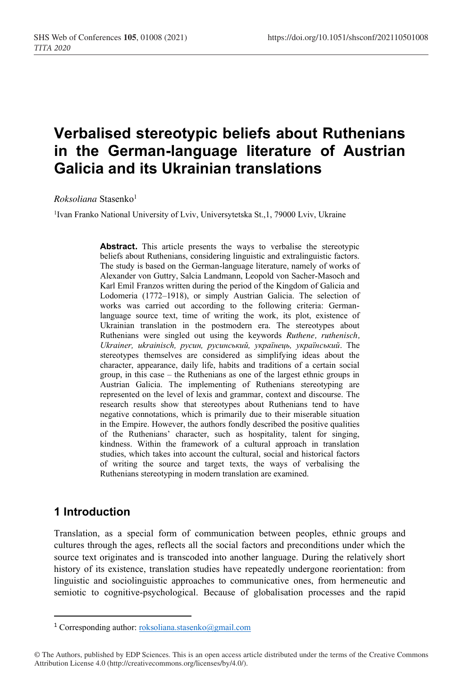# **Verbalised stereotypic beliefs about Ruthenians in the German-language literature of Austrian Galicia and its Ukrainian translations**

*Roksoliana* Stasenko1

<sup>1</sup>Ivan Franko National University of Lviv, Universytetska St., 1, 79000 Lviv, Ukraine

**Abstract.** This article presents the ways to verbalise the stereotypic beliefs about Ruthenians, considering linguistic and extralinguistic factors. The study is based on the German-language literature, namely of works of Alexander von Guttry, Salcia Landmann, Leopold von Sacher-Masoch and Karl Emil Franzos written during the period of the Kingdom of Galicia and Lodomeria (1772–1918), or simply Austrian Galicia. The selection of works was carried out according to the following criteria: Germanlanguage source text, time of writing the work, its plot, existence of Ukrainian translation in the postmodern era. The stereotypes about Ruthenians were singled out using the keywords *Ruthene, ruthenisch, Ukrainer, ukrainisch, русин, русинський, українець, український*. The stereotypes themselves are considered as simplifying ideas about the character, appearance, daily life, habits and traditions of a certain social group, in this case – the Ruthenians as one of the largest ethnic groups in Austrian Galicia. The implementing of Ruthenians stereotyping are represented on the level of lexis and grammar, context and discourse. The research results show that stereotypes about Ruthenians tend to have negative connotations, which is primarily due to their miserable situation in the Empire. However, the authors fondly described the positive qualities of the Ruthenians' character, such as hospitality, talent for singing, kindness. Within the framework of a cultural approach in translation studies, which takes into account the cultural, social and historical factors of writing the source and target texts, the ways of verbalising the Ruthenians stereotyping in modern translation are examined.

## **1 Introduction**

Translation, as a special form of communication between peoples, ethnic groups and cultures through the ages, reflects all the social factors and preconditions under which the source text originates and is transcoded into another language. During the relatively short history of its existence, translation studies have repeatedly undergone reorientation: from linguistic and sociolinguistic approaches to communicative ones, from hermeneutic and semiotic to cognitive-psychological. Because of globalisation processes and the rapid

<sup>&</sup>lt;sup>1</sup> Corresponding author: roksoliana.stasenko@gmail.com

<sup>©</sup> The Authors, published by EDP Sciences. This is an open access article distributed under the terms of the Creative Commons Attribution License 4.0 (http://creativecommons.org/licenses/by/4.0/).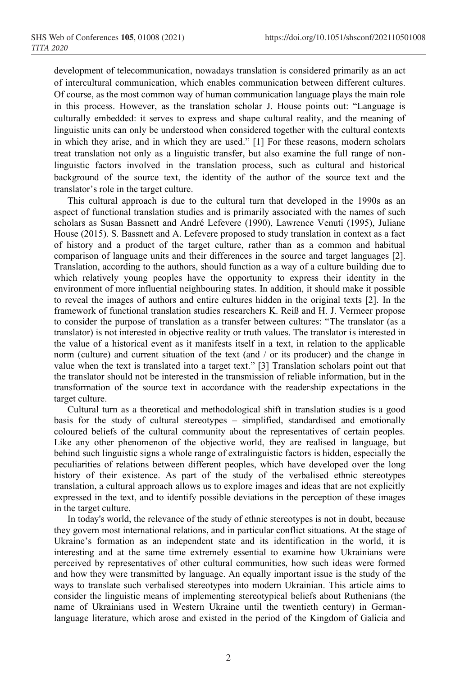development of telecommunication, nowadays translation is considered primarily as an act of intercultural communication, which enables communication between different cultures. Of course, as the most common way of human communication language plays the main role in this process. However, as the translation scholar J. House points out: "Language is culturally embedded: it serves to express and shape cultural reality, and the meaning of linguistic units can only be understood when considered together with the cultural contexts in which they arise, and in which they are used." [1] For these reasons, modern scholars treat translation not only as a linguistic transfer, but also examine the full range of nonlinguistic factors involved in the translation process, such as cultural and historical background of the source text, the identity of the author of the source text and the translator's role in the target culture.

This cultural approach is due to the cultural turn that developed in the 1990s as an aspect of functional translation studies and is primarily associated with the names of such scholars as Susan Bassnett and André Lefevere (1990), Lawrence Venuti (1995), Juliane House (2015). S. Bassnett and A. Lefevere proposed to study translation in context as a fact of history and a product of the target culture, rather than as a common and habitual comparison of language units and their differences in the source and target languages [2]. Translation, according to the authors, should function as a way of a culture building due to which relatively young peoples have the opportunity to express their identity in the environment of more influential neighbouring states. In addition, it should make it possible to reveal the images of authors and entire cultures hidden in the original texts [2]. In the framework of functional translation studies researchers K. Reiß and H. J. Vermeer propose to consider the purpose of translation as a transfer between cultures: "The translator (as a translator) is not interested in objective reality or truth values. The translator is interested in the value of a historical event as it manifests itself in a text, in relation to the applicable norm (culture) and current situation of the text (and / or its producer) and the change in value when the text is translated into a target text." [3] Translation scholars point out that the translator should not be interested in the transmission of reliable information, but in the transformation of the source text in accordance with the readership expectations in the target culture.

Cultural turn as a theoretical and methodological shift in translation studies is a good basis for the study of cultural stereotypes – simplified, standardised and emotionally coloured beliefs of the cultural community about the representatives of certain peoples. Like any other phenomenon of the objective world, they are realised in language, but behind such linguistic signs a whole range of extralinguistic factors is hidden, especially the peculiarities of relations between different peoples, which have developed over the long history of their existence. As part of the study of the verbalised ethnic stereotypes translation, a cultural approach allows us to explore images and ideas that are not explicitly expressed in the text, and to identify possible deviations in the perception of these images in the target culture.

In today's world, the relevance of the study of ethnic stereotypes is not in doubt, because they govern most international relations, and in particular conflict situations. At the stage of Ukraine's formation as an independent state and its identification in the world, it is interesting and at the same time extremely essential to examine how Ukrainians were perceived by representatives of other cultural communities, how such ideas were formed and how they were transmitted by language. An equally important issue is the study of the ways to translate such verbalised stereotypes into modern Ukrainian. This article aims to consider the linguistic means of implementing stereotypical beliefs about Ruthenians (the name of Ukrainians used in Western Ukraine until the twentieth century) in Germanlanguage literature, which arose and existed in the period of the Kingdom of Galicia and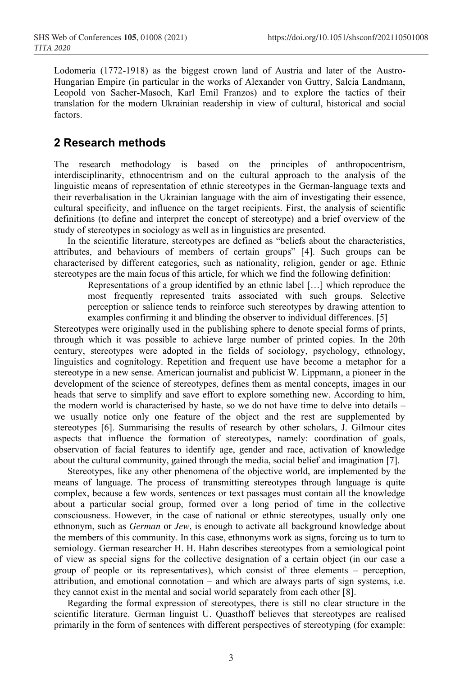Lodomeria (1772-1918) as the biggest crown land of Austria and later of the Austro-Hungarian Empire (in particular in the works of Alexander von Guttry, Salcia Landmann, Leopold von Sacher-Masoch, Karl Emil Franzos) and to explore the tactics of their translation for the modern Ukrainian readership in view of cultural, historical and social factors.

# **2 Research methods**

The research methodology is based on the principles of anthropocentrism, interdisciplinarity, ethnocentrism and on the cultural approach to the analysis of the linguistic means of representation of ethnic stereotypes in the German-language texts and their reverbalisation in the Ukrainian language with the aim of investigating their essence, cultural specificity, and influence on the target recipients. First, the analysis of scientific definitions (to define and interpret the concept of stereotype) and a brief overview of the study of stereotypes in sociology as well as in linguistics are presented.

In the scientific literature, stereotypes are defined as "beliefs about the characteristics, attributes, and behaviours of members of certain groups" [4]. Such groups can be characterised by different categories, such as nationality, religion, gender or age. Ethnic stereotypes are the main focus of this article, for which we find the following definition:

Representations of a group identified by an ethnic label […] which reproduce the most frequently represented traits associated with such groups. Selective perception or salience tends to reinforce such stereotypes by drawing attention to examples confirming it and blinding the observer to individual differences. [5]

Stereotypes were originally used in the publishing sphere to denote special forms of prints, through which it was possible to achieve large number of printed copies. In the 20th century, stereotypes were adopted in the fields of sociology, psychology, ethnology, linguistics and cognitology. Repetition and frequent use have become a metaphor for a stereotype in a new sense. American journalist and publicist W. Lippmann, a pioneer in the development of the science of stereotypes, defines them as mental concepts, images in our heads that serve to simplify and save effort to explore something new. According to him, the modern world is characterised by haste, so we do not have time to delve into details – we usually notice only one feature of the object and the rest are supplemented by stereotypes [6]. Summarising the results of research by other scholars, J. Gilmour cites aspects that influence the formation of stereotypes, namely: coordination of goals, observation of facial features to identify age, gender and race, activation of knowledge about the cultural community, gained through the media, social belief and imagination [7].

Stereotypes, like any other phenomena of the objective world, are implemented by the means of language. The process of transmitting stereotypes through language is quite complex, because a few words, sentences or text passages must contain all the knowledge about a particular social group, formed over a long period of time in the collective consciousness. However, in the case of national or ethnic stereotypes, usually only one ethnonym, such as *German* or *Jew*, is enough to activate all background knowledge about the members of this community. In this case, ethnonyms work as signs, forcing us to turn to semiology. German researcher H. H. Hahn describes stereotypes from a semiological point of view as special signs for the collective designation of a certain object (in our case a group of people or its representatives), which consist of three elements – perception, attribution, and emotional connotation  $-$  and which are always parts of sign systems, i.e. they cannot exist in the mental and social world separately from each other [8].

Regarding the formal expression of stereotypes, there is still no clear structure in the scientific literature. German linguist U. Quasthoff believes that stereotypes are realised primarily in the form of sentences with different perspectives of stereotyping (for example: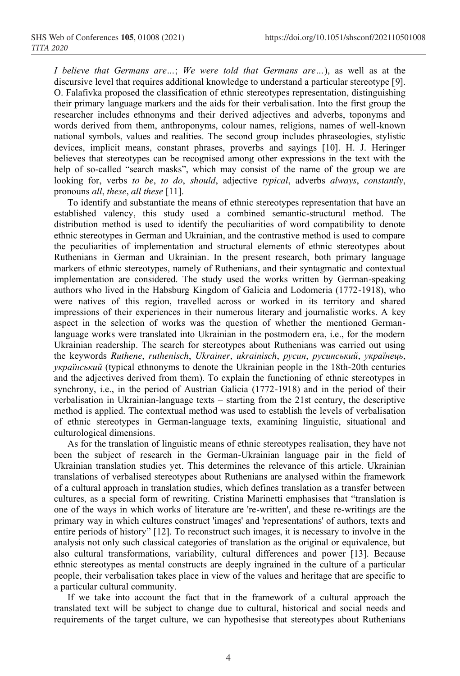*I believe that Germans are…*; *We were told that Germans are…*), as well as at the discursive level that requires additional knowledge to understand a particular stereotype [9]. O. Falafivka proposed the classification of ethnic stereotypes representation, distinguishing their primary language markers and the aids for their verbalisation. Into the first group the researcher includes ethnonyms and their derived adjectives and adverbs, toponyms and words derived from them, anthroponyms, colour names, religions, names of well-known national symbols, values and realities. The second group includes phraseologies, stylistic devices, implicit means, constant phrases, proverbs and sayings [10]. H. J. Heringer believes that stereotypes can be recognised among other expressions in the text with the help of so-called "search masks", which may consist of the name of the group we are looking for, verbs *to be*, *to do*, *should*, adjective *typical*, adverbs *always*, *constantly*, pronouns *all*, *these*, *all these* [11].

To identify and substantiate the means of ethnic stereotypes representation that have an established valency, this study used a combined semantic-structural method. The distribution method is used to identify the peculiarities of word compatibility to denote ethnic stereotypes in German and Ukrainian, and the contrastive method is used to compare the peculiarities of implementation and structural elements of ethnic stereotypes about Ruthenians in German and Ukrainian*.* In the present research, both primary language markers of ethnic stereotypes, namely of Ruthenians, and their syntagmatic and contextual implementation are considered. The study used the works written by German-speaking authors who lived in the Habsburg Kingdom of Galicia and Lodomeria (1772-1918), who were natives of this region, travelled across or worked in its territory and shared impressions of their experiences in their numerous literary and journalistic works. A key aspect in the selection of works was the question of whether the mentioned Germanlanguage works were translated into Ukrainian in the postmodern era, i.e., for the modern Ukrainian readership. The search for stereotypes about Ruthenians was carried out using the keywords *Ruthene*, *ruthenisch*, *Ukrainer*, *ukrainisch*, *русин*, *русинський*, *українець*, *український* (typical ethnonyms to denote the Ukrainian people in the 18th-20th centuries and the adjectives derived from them). To explain the functioning of ethnic stereotypes in synchrony, i.e., in the period of Austrian Galicia (1772-1918) and in the period of their verbalisation in Ukrainian-language texts – starting from the 21st century, the descriptive method is applied. The contextual method was used to establish the levels of verbalisation of ethnic stereotypes in German-language texts, examining linguistic, situational and culturological dimensions.

As for the translation of linguistic means of ethnic stereotypes realisation, they have not been the subject of research in the German-Ukrainian language pair in the field of Ukrainian translation studies yet. This determines the relevance of this article. Ukrainian translations of verbalised stereotypes about Ruthenians are analysed within the framework of a cultural approach in translation studies, which defines translation as a transfer between cultures, as a special form of rewriting. Cristina Marinetti emphasises that "translation is one of the ways in which works of literature are 're-written', and these re-writings are the primary way in which cultures construct 'images' and 'representations' of authors, texts and entire periods of history" [12]. To reconstruct such images, it is necessary to involve in the analysis not only such classical categories of translation as the original or equivalence, but also cultural transformations, variability, cultural differences and power [13]. Because ethnic stereotypes as mental constructs are deeply ingrained in the culture of a particular people, their verbalisation takes place in view of the values and heritage that are specific to a particular cultural community.

If we take into account the fact that in the framework of a cultural approach the translated text will be subject to change due to cultural, historical and social needs and requirements of the target culture, we can hypothesise that stereotypes about Ruthenians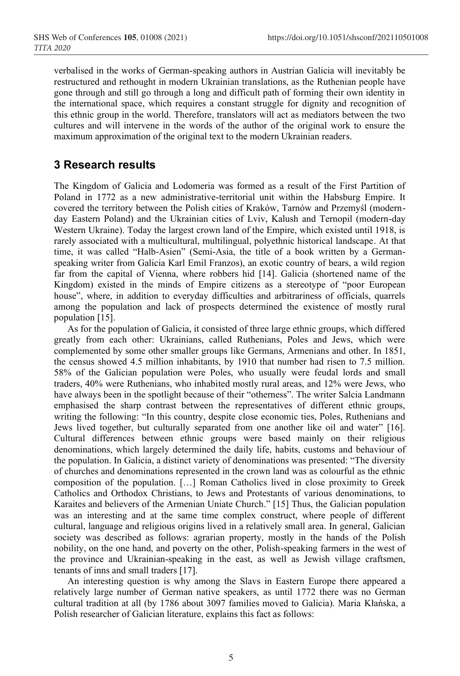verbalised in the works of German-speaking authors in Austrian Galicia will inevitably be restructured and rethought in modern Ukrainian translations, as the Ruthenian people have gone through and still go through a long and difficult path of forming their own identity in the international space, which requires a constant struggle for dignity and recognition of this ethnic group in the world. Therefore, translators will act as mediators between the two cultures and will intervene in the words of the author of the original work to ensure the maximum approximation of the original text to the modern Ukrainian readers.

# **3 Research results**

The Kingdom of Galicia and Lodomeria was formed as a result of the First Partition of Poland in 1772 as a new administrative-territorial unit within the Habsburg Empire. It covered the territory between the Polish cities of Kraków, Tarnów and Przemyśl (modernday Eastern Poland) and the Ukrainian cities of Lviv, Kalush and Ternopil (modern-day Western Ukraine). Today the largest crown land of the Empire, which existed until 1918, is rarely associated with a multicultural, multilingual, polyethnic historical landscape. At that time, it was called "Halb-Asien" (Semi-Asia, the title of a book written by a Germanspeaking writer from Galicia Karl Emil Franzos), an exotic country of bears, a wild region far from the capital of Vienna, where robbers hid [14]. Galicia (shortened name of the Kingdom) existed in the minds of Empire citizens as a stereotype of "poor European house", where, in addition to everyday difficulties and arbitrariness of officials, quarrels among the population and lack of prospects determined the existence of mostly rural population [15].

As for the population of Galicia, it consisted of three large ethnic groups, which differed greatly from each other: Ukrainians, called Ruthenians, Poles and Jews, which were complemented by some other smaller groups like Germans, Armenians and other. In 1851, the census showed 4.5 million inhabitants, by 1910 that number had risen to 7.5 million. 58% of the Galician population were Poles, who usually were feudal lords and small traders, 40% were Ruthenians, who inhabited mostly rural areas, and 12% were Jews, who have always been in the spotlight because of their "otherness". The writer Salcia Landmann emphasised the sharp contrast between the representatives of different ethnic groups, writing the following: "In this country, despite close economic ties, Poles, Ruthenians and Jews lived together, but culturally separated from one another like oil and water" [16]. Cultural differences between ethnic groups were based mainly on their religious denominations, which largely determined the daily life, habits, customs and behaviour of the population. In Galicia, a distinct variety of denominations was presented: "The diversity of churches and denominations represented in the crown land was as colourful as the ethnic composition of the population. […] Roman Catholics lived in close proximity to Greek Catholics and Orthodox Christians, to Jews and Protestants of various denominations, to Karaites and believers of the Armenian Uniate Church." [15] Thus, the Galician population was an interesting and at the same time complex construct, where people of different cultural, language and religious origins lived in a relatively small area. In general, Galician society was described as follows: agrarian property, mostly in the hands of the Polish nobility, on the one hand, and poverty on the other, Polish-speaking farmers in the west of the province and Ukrainian-speaking in the east, as well as Jewish village craftsmen, tenants of inns and small traders [17].

An interesting question is why among the Slavs in Eastern Europe there appeared a relatively large number of German native speakers, as until 1772 there was no German cultural tradition at all (by 1786 about 3097 families moved to Galicia). Maria Kłańska, a Polish researcher of Galician literature, explains this fact as follows: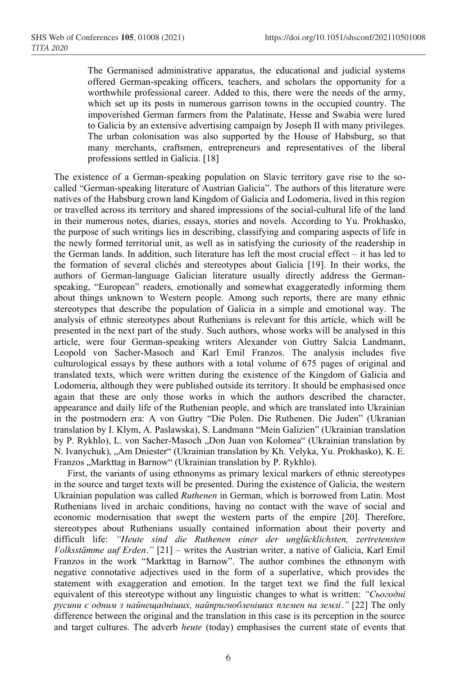The Germanised administrative apparatus, the educational and judicial systems offered German-speaking officers, teachers, and scholars the opportunity for a worthwhile professional career. Added to this, there were the needs of the army, which set up its posts in numerous garrison towns in the occupied country. The impoverished German farmers from the Palatinate, Hesse and Swabia were lured to Galicia by an extensive advertising campaign by Joseph II with many privileges. The urban colonisation was also supported by the House of Habsburg, so that many merchants, craftsmen, entrepreneurs and representatives of the liberal professions settled in Galicia. [18]

The existence of a German-speaking population on Slavic territory gave rise to the socalled "German-speaking literature of Austrian Galicia". The authors of this literature were natives of the Habsburg crown land Kingdom of Galicia and Lodomeria, lived in this region or travelled across its territory and shared impressions of the social-cultural life of the land in their numerous notes, diaries, essays, stories and novels. According to Yu. Prokhasko, the purpose of such writings lies in describing, classifying and comparing aspects of life in the newly formed territorial unit, as well as in satisfying the curiosity of the readership in the German lands. In addition, such literature has left the most crucial effect – it has led to the formation of several clichés and stereotypes about Galicia [19]. In their works, the authors of German-language Galician literature usually directly address the Germanspeaking, "European" readers, emotionally and somewhat exaggeratedly informing them about things unknown to Western people. Among such reports, there are many ethnic stereotypes that describe the population of Galicia in a simple and emotional way. The analysis of ethnic stereotypes about Ruthenians is relevant for this article, which will be presented in the next part of the study. Such authors, whose works will be analysed in this article, were four German-speaking writers Alexander von Guttry Salcia Landmann, Leopold von Sacher-Masoch and Karl Emil Franzos. The analysis includes five culturological essays by these authors with a total volume of 675 pages of original and translated texts, which were written during the existence of the Kingdom of Galicia and Lodomeria, although they were published outside its territory. It should be emphasised once again that these are only those works in which the authors described the character, appearance and daily life of the Ruthenian people, and which are translated into Ukrainian in the postmodern era: A von Guttry "Die Polen. Die Ruthenen. Die Juden" (Ukranian translation by I. Klym, A. Paslawska), S. Landmann "Mein Galizien" (Ukrainian translation by P. Rykhlo), L. von Sacher-Masoch "Don Juan von Kolomea" (Ukrainian translation by N. Ivanychuk), "Am Dniester" (Ukrainian translation by Kh. Velyka, Yu. Prokhasko), K. E. Franzos "Markttag in Barnow" (Ukrainian translation by P. Rykhlo).

First, the variants of using ethnonyms as primary lexical markers of ethnic stereotypes in the source and target texts will be presented. During the existence of Galicia, the western Ukrainian population was called *Ruthenen* in German, which is borrowed from Latin. Most Ruthenians lived in archaic conditions, having no contact with the wave of social and economic modernisation that swept the western parts of the empire [20]. Therefore, stereotypes about Ruthenians usually contained information about their poverty and difficult life: *"Heute sind die Ruthenen einer der unglücklichsten, zertretensten Volksstämme auf Erden."* [21] – writes the Austrian writer, a native of Galicia, Karl Emil Franzos in the work "Markttag in Barnow". The author combines the ethnonym with negative connotative adjectives used in the form of a superlative, which provides the statement with exaggeration and emotion. In the target text we find the full lexical equivalent of this stereotype without any linguistic changes to what is written: *"Сьогодні русини є одним з найнещадніших, найпригнобленіших племен на землі."* [22] The only difference between the original and the translation in this case is its perception in the source and target cultures. The adverb *heute* (today) emphasises the current state of events that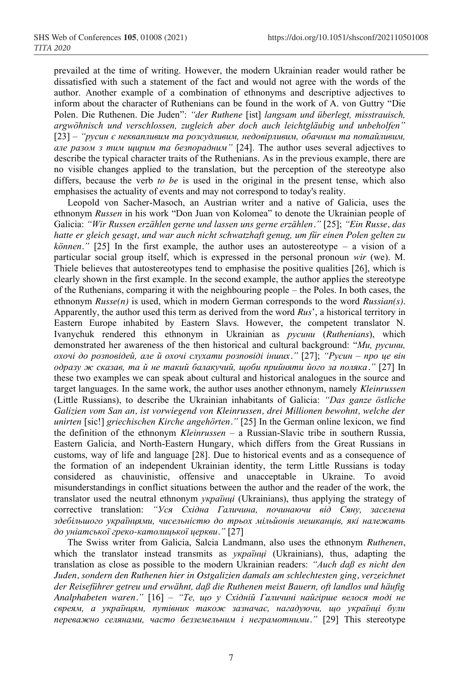prevailed at the time of writing. However, the modern Ukrainian reader would rather be dissatisfied with such a statement of the fact and would not agree with the words of the author. Another example of a combination of ethnonyms and descriptive adjectives to inform about the character of Ruthenians can be found in the work of A. von Guttry "Die Polen. Die Ruthenen. Die Juden": *"der Ruthene* [ist] *langsam und überlegt, misstrauisch, argwöhnisch und verschlossen, zugleich aber doch auch leichtgläubig und unbeholfen"* [23] – *"русин є неквапливим та розсудливим, недовірливим, обачним та потайливим, але разом з тим щирим та безпорадним"* [24]. The author uses several adjectives to describe the typical character traits of the Ruthenians. As in the previous example, there are no visible changes applied to the translation, but the perception of the stereotype also differs, because the verb *to be* is used in the original in the present tense, which also emphasises the actuality of events and may not correspond to today's reality.

Leopold von Sacher-Masoch, an Austrian writer and a native of Galicia, uses the ethnonym *Russen* in his work "Don Juan von Kolomea" to denote the Ukrainian people of Galicia: *"Wir Russen erzählen gerne und lassen uns gerne erzählen."* [25]; *"Ein Russe, das hatte er gleich gesagt, und war auch nicht schwatzhaft genug, um für einen Polen gelten zu können."* [25] In the first example, the author uses an autostereotype – a vision of a particular social group itself, which is expressed in the personal pronoun *wir* (we). M. Thiele believes that autostereotypes tend to emphasise the positive qualities [26], which is clearly shown in the first example. In the second example, the author applies the stereotype of the Ruthenians, comparing it with the neighbouring people – the Poles. In both cases, the ethnonym *Russe(n)* is used, which in modern German corresponds to the word *Russian(s)*. Apparently, the author used this term as derived from the word *Rus*', a historical territory in Eastern Europe inhabited by Eastern Slavs. However, the competent translator N. Ivanychuk rendered this ethnonym in Ukrainian as *русини* (*Ruthenians*), which demonstrated her awareness of the then historical and cultural background: "*Ми, русини, охочі до розповідей, але й охочі слухати розповіді інших."* [27]; *"Русин – про це він одразу ж сказав, та й не такий балакучий, щоби прийняти його за поляка."* [27] In these two examples we can speak about cultural and historical analogues in the source and target languages. In the same work, the author uses another ethnonym, namely *Kleinrussen* (Little Russians), to describe the Ukrainian inhabitants of Galicia: *"Das ganze östliche Galizien vom San an, ist vorwiegend von Kleinrussen, drei Millionen bewohnt, welche der unirten* [sic!] *griechischen Kirche angehörten."* [25] In the German online lexicon, we find the definition of the ethnonym *Kleinrussen –* a Russian-Slavic tribe in southern Russia, Eastern Galicia, and North-Eastern Hungary, which differs from the Great Russians in customs, way of life and language [28]. Due to historical events and as a consequence of the formation of an independent Ukrainian identity, the term Little Russians is today considered as chauvinistic, offensive and unacceptable in Ukraine. To avoid misunderstandings in conflict situations between the author and the reader of the work, the translator used the neutral ethnonym *українці* (Ukrainians), thus applying the strategy of corrective translation: *"Уся Східна Галичина, починаючи від Сяну, заселена здебільшого українцями, чисельністю до трьох мільйонів мешканців, які належать до уніатської греко-католицької церкви."* [27]

The Swiss writer from Galicia, Salcia Landmann, also uses the ethnonym *Ruthenen*, which the translator instead transmits as *українці* (Ukrainians), thus, adapting the translation as close as possible to the modern Ukrainian readers: *"Auch daß es nicht den Juden, sondern den Ruthenen hier in Ostgalizien damals am schlechtesten ging, verzeichnet der Reiseführer getreu und erwähnt, daß die Ruthenen meist Bauern, oft landlos und häufig Analphabeten waren."* [16] – *"Те, що у Східній Галичині найгірше велося тоді не євреям, а українцям, путівник також зазначає, нагадуючи, що українці були переважно селянами, часто безземельним і неграмотними."* [29] This stereotype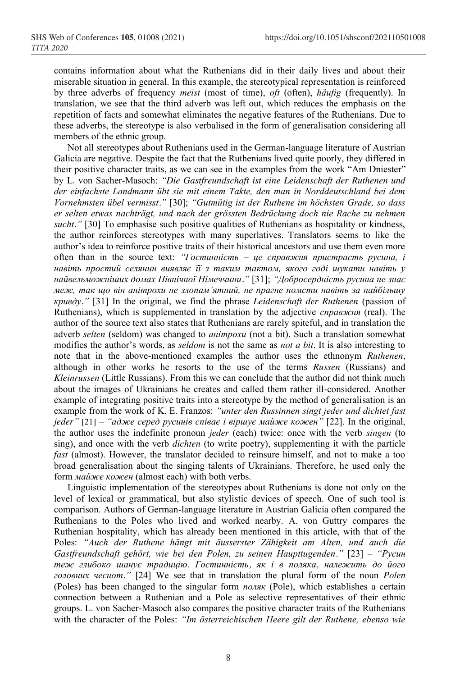contains information about what the Ruthenians did in their daily lives and about their miserable situation in general. In this example, the stereotypical representation is reinforced by three adverbs of frequency *meist* (most of time), *oft* (often), *häufig* (frequently). In translation, we see that the third adverb was left out, which reduces the emphasis on the repetition of facts and somewhat eliminates the negative features of the Ruthenians. Due to these adverbs, the stereotype is also verbalised in the form of generalisation considering all members of the ethnic group.

Not all stereotypes about Ruthenians used in the German-language literature of Austrian Galicia are negative. Despite the fact that the Ruthenians lived quite poorly, they differed in their positive character traits, as we can see in the examples from the work "Am Dniester" by L. von Sacher-Masoch: *"Die Gastfreundschaft ist eine Leidenschaft der Ruthenen und der einfachste Landmann übt sie mit einem Takte, den man in Norddeutschland bei dem Vornehmsten übel vermisst."* [30]; *"Gutmütig ist der Ruthene im höchsten Grade, so dass er selten etwas nachträgt, und nach der grössten Bedrückung doch nie Rache zu nehmen sucht."* [30] To emphasise such positive qualities of Ruthenians as hospitality or kindness, the author reinforces stereotypes with many superlatives. Translators seems to like the author's idea to reinforce positive traits of their historical ancestors and use them even more often than in the source text: *"Гостинність – це справжня пристрасть русина, і навіть простий селянин виявляє її з таким тактом, якого годі шукати навіть у найвельможніших домах Північної Німеччини."* [31]; *"Добросердність русина не знає меж, так що він анітрохи не злопам'ятний, не прагне помсти навіть за найбільшу кривду."* [31] In the original, we find the phrase *Leidenschaft der Ruthenen* (passion of Ruthenians), which is supplemented in translation by the adjective *справжня* (real). The author of the source text also states that Ruthenians are rarely spiteful, and in translation the adverb *selten* (seldom) was changed to *анітрохи* (not a bit). Such a translation somewhat modifies the author's words, as *seldom* is not the same as *not a bit*. It is also interesting to note that in the above-mentioned examples the author uses the ethnonym *Ruthenen*, although in other works he resorts to the use of the terms *Russen* (Russians) and *Kleinrussen* (Little Russians). From this we can conclude that the author did not think much about the images of Ukrainians he creates and called them rather ill-considered. Another example of integrating positive traits into a stereotype by the method of generalisation is an example from the work of K. E. Franzos: *"unter den Russinnen singt jeder und dichtet fast jeder"* [21] – *"адже серед русинів співає і віршує майже кожен"* [22]. In the original, the author uses the indefinite pronoun *jeder* (each) twice: once with the verb *singen* (to sing), and once with the verb *dichten* (to write poetry), supplementing it with the particle *fast* (almost). However, the translator decided to reinsure himself, and not to make a too broad generalisation about the singing talents of Ukrainians. Therefore, he used only the form *майже кожен* (almost each) with both verbs.

Linguistic implementation of the stereotypes about Ruthenians is done not only on the level of lexical or grammatical, but also stylistic devices of speech. One of such tool is comparison. Authors of German-language literature in Austrian Galicia often compared the Ruthenians to the Poles who lived and worked nearby. A. von Guttry compares the Ruthenian hospitality, which has already been mentioned in this article, with that of the Poles: *"Auch der Ruthene hängt mit äusserster Zähigkeit am Alten, und auch die Gastfreundschaft gehört, wie bei den Polen, zu seinen Haupttugenden."* [23] – *"Русин теж глибоко шанує традицію. Гостинність, як і в поляка, належить до його головних чеснот."* [24] We see that in translation the plural form of the noun *Polen* (Poles) has been changed to the singular form *поляк* (Pole), which establishes a certain connection between a Ruthenian and a Pole as selective representatives of their ethnic groups. L. von Sacher-Masoch also compares the positive character traits of the Ruthenians with the character of the Poles: *"Im österreichischen Heere gilt der Ruthene, ebenso wie*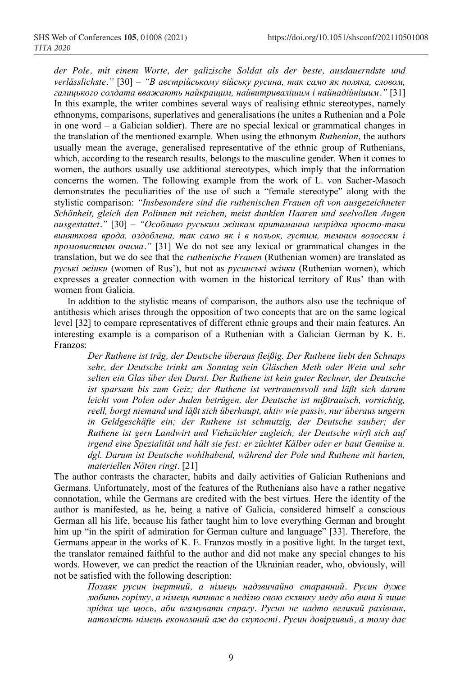*der Pole, mit einem Worte, der galizische Soldat als der beste, ausdauerndste und verlässlichste."* [30] – *"В австрійському війську русина, так само як поляка, словом, галицького солдата вважають найкращим, найвитривалішим і найнадійнішим."* [31] In this example, the writer combines several ways of realising ethnic stereotypes, namely ethnonyms, comparisons, superlatives and generalisations (he unites a Ruthenian and a Pole in one word – a Galician soldier). There are no special lexical or grammatical changes in the translation of the mentioned example. When using the ethnonym *Ruthenian*, the authors usually mean the average, generalised representative of the ethnic group of Ruthenians, which, according to the research results, belongs to the masculine gender. When it comes to women, the authors usually use additional stereotypes, which imply that the information concerns the women. The following example from the work of L. von Sacher-Masoch demonstrates the peculiarities of the use of such a "female stereotype" along with the stylistic comparison: *"Insbesondere sind die ruthenischen Frauen oft von ausgezeichneter Schönheit, gleich den Polinnen mit reichen, meist dunklen Haaren und seelvollen Augen ausgestattet."* [30] – *"Особливо руським жінкам притаманна незрідка просто-таки виняткова врода, оздоблена, так само як і в польок, густим, темним волоссям і промовистими очима."* [31] We do not see any lexical or grammatical changes in the translation, but we do see that the *ruthenische Frauen* (Ruthenian women) are translated as *руські жінки* (women of Rus'), but not as *русинські жінки* (Ruthenian women), which expresses a greater connection with women in the historical territory of Rus' than with women from Galicia.

In addition to the stylistic means of comparison, the authors also use the technique of antithesis which arises through the opposition of two concepts that are on the same logical level [32] to compare representatives of different ethnic groups and their main features. An interesting example is a comparison of a Ruthenian with a Galician German by K. E. Franzos:

*Der Ruthene ist träg, der Deutsche überaus fleißig. Der Ruthene liebt den Schnaps sehr, der Deutsche trinkt am Sonntag sein Gläschen Meth oder Wein und sehr selten ein Glas über den Durst. Der Ruthene ist kein guter Rechner, der Deutsche ist sparsam bis zum Geiz; der Ruthene ist vertrauensvoll und läßt sich darum leicht vom Polen oder Juden betrügen, der Deutsche ist mißtrauisch, vorsichtig, reell, borgt niemand und läßt sich überhaupt, aktiv wie passiv, nur überaus ungern in Geldgeschäfte ein; der Ruthene ist schmutzig, der Deutsche sauber; der Ruthene ist gern Landwirt und Viehzüchter zugleich; der Deutsche wirft sich auf irgend eine Spezialität und hält sie fest: er züchtet Kälber oder er baut Gemüse u. dgl. Darum ist Deutsche wohlhabend, während der Pole und Ruthene mit harten, materiellen Nöten ringt.* [21]

The author contrasts the character, habits and daily activities of Galician Ruthenians and Germans. Unfortunately, most of the features of the Ruthenians also have a rather negative connotation, while the Germans are credited with the best virtues. Here the identity of the author is manifested, as he, being a native of Galicia, considered himself a conscious German all his life, because his father taught him to love everything German and brought him up "in the spirit of admiration for German culture and language" [33]. Therefore, the Germans appear in the works of K. E. Franzos mostly in a positive light. In the target text, the translator remained faithful to the author and did not make any special changes to his words. However, we can predict the reaction of the Ukrainian reader, who, obviously, will not be satisfied with the following description:

*Позаяк русин інертний, а німець надзвичайно старанний. Русин дуже любить горілку, а німець випиває в неділю свою склянку меду або вина й лише зрідка ще щось, аби вгамувати спрагу. Русин не надто великий рахівник, натомість німець економний аж до скупості. Русин довірливий, а тому дає*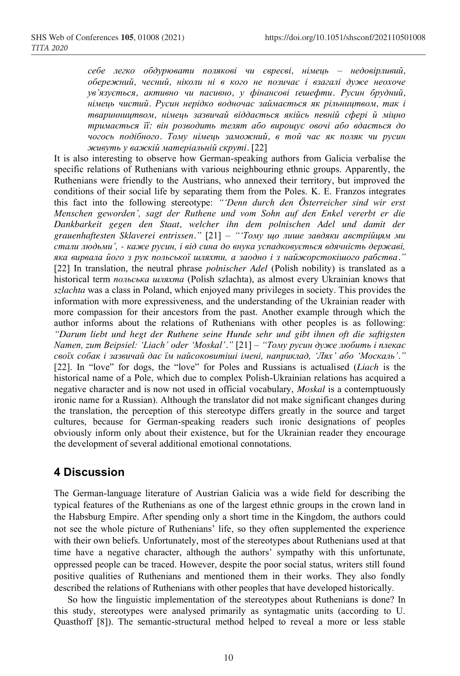*себе легко обдурювати полякові чи євреєві, німець – недовірливий, обережний, чесний, ніколи ні в кого не позичає і взагалі дуже неохоче ув'язується, активно чи пасивно, у фінансові ґешефти. Русин брудний, німець чистий. Русин нерідко водночас займається як рільництвом, так і тваринництвом, німець зазвичай віддається якійсь певній сфері й міцно тримається її: він розводить телят або вирощує овочі або вдається до чогось подібного. Тому німець заможний, в той час як поляк чи русин живуть у важкій матеріальній скруті.* [22]

It is also interesting to observe how German-speaking authors from Galicia verbalise the specific relations of Ruthenians with various neighbouring ethnic groups. Apparently, the Ruthenians were friendly to the Austrians, who annexed their territory, but improved the conditions of their social life by separating them from the Poles. K. E. Franzos integrates this fact into the following stereotype: *"'Denn durch den Österreicher sind wir erst Menschen geworden', sagt der Ruthene und vom Sohn auf den Enkel vererbt er die Dankbarkeit gegen den Staat, welcher ihn dem polnischen Adel und damit der grauenhaftesten Sklaverei entrissen."* [21] – *"'Тому що лише завдяки австрійцям ми стали людьми', - каже русин, і від сина до внука успадковується вдячність державі, яка вирвала його з рук польської шляхти, а заодно і з найжорстокішого рабства."* [22] In translation, the neutral phrase *polnischer Adel* (Polish nobility) is translated as a historical term *польська шляхта* (Polish szlachta), as almost every Ukrainian knows that *szlachta* was a class in Poland, which enjoyed many privileges in society. This provides the information with more expressiveness, and the understanding of the Ukrainian reader with more compassion for their ancestors from the past. Another example through which the author informs about the relations of Ruthenians with other peoples is as following: *"Darum liebt und hegt der Ruthene seine Hunde sehr und gibt ihnen oft die saftigsten Namen, zum Beipsiel: 'Liach' oder 'Moskal'."* [21] – *"Тому русин дуже любить і плекає своїх собак і зазвичай дає їм найсоковитіші імені, наприклад, 'Лях' або 'Москаль'."* [22]. In "love" for dogs, the "love" for Poles and Russians is actualised (*Liach* is the historical name of a Pole, which due to complex Polish-Ukrainian relations has acquired a negative character and is now not used in official vocabulary, *Moskal* is a contemptuously ironic name for a Russian). Although the translator did not make significant changes during the translation, the perception of this stereotype differs greatly in the source and target cultures, because for German-speaking readers such ironic designations of peoples obviously inform only about their existence, but for the Ukrainian reader they encourage the development of several additional emotional connotations.

## **4 Discussion**

The German-language literature of Austrian Galicia was a wide field for describing the typical features of the Ruthenians as one of the largest ethnic groups in the crown land in the Habsburg Empire. After spending only a short time in the Kingdom, the authors could not see the whole picture of Ruthenians' life, so they often supplemented the experience with their own beliefs. Unfortunately, most of the stereotypes about Ruthenians used at that time have a negative character, although the authors' sympathy with this unfortunate, oppressed people can be traced. However, despite the poor social status, writers still found positive qualities of Ruthenians and mentioned them in their works. They also fondly described the relations of Ruthenians with other peoples that have developed historically.

So how the linguistic implementation of the stereotypes about Ruthenians is done? In this study, stereotypes were analysed primarily as syntagmatic units (according to U. Quasthoff [8]). The semantic-structural method helped to reveal a more or less stable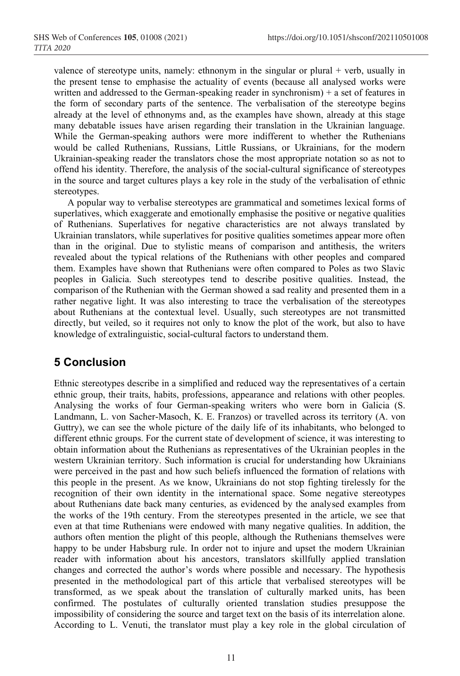valence of stereotype units, namely: ethnonym in the singular or plural  $+$  verb, usually in the present tense to emphasise the actuality of events (because all analysed works were written and addressed to the German-speaking reader in synchronism) + a set of features in the form of secondary parts of the sentence. The verbalisation of the stereotype begins already at the level of ethnonyms and, as the examples have shown, already at this stage many debatable issues have arisen regarding their translation in the Ukrainian language. While the German-speaking authors were more indifferent to whether the Ruthenians would be called Ruthenians, Russians, Little Russians, or Ukrainians, for the modern Ukrainian-speaking reader the translators chose the most appropriate notation so as not to offend his identity. Therefore, the analysis of the social-cultural significance of stereotypes in the source and target cultures plays a key role in the study of the verbalisation of ethnic stereotypes.

A popular way to verbalise stereotypes are grammatical and sometimes lexical forms of superlatives, which exaggerate and emotionally emphasise the positive or negative qualities of Ruthenians. Superlatives for negative characteristics are not always translated by Ukrainian translators, while superlatives for positive qualities sometimes appear more often than in the original. Due to stylistic means of comparison and antithesis, the writers revealed about the typical relations of the Ruthenians with other peoples and compared them. Examples have shown that Ruthenians were often compared to Poles as two Slavic peoples in Galicia. Such stereotypes tend to describe positive qualities. Instead, the comparison of the Ruthenian with the German showed a sad reality and presented them in a rather negative light. It was also interesting to trace the verbalisation of the stereotypes about Ruthenians at the contextual level. Usually, such stereotypes are not transmitted directly, but veiled, so it requires not only to know the plot of the work, but also to have knowledge of extralinguistic, social-cultural factors to understand them.

## **5 Conclusion**

Ethnic stereotypes describe in a simplified and reduced way the representatives of a certain ethnic group, their traits, habits, professions, appearance and relations with other peoples. Analysing the works of four German-speaking writers who were born in Galicia (S. Landmann, L. von Sacher-Masoch, K. E. Franzos) or travelled across its territory (A. von Guttry), we can see the whole picture of the daily life of its inhabitants, who belonged to different ethnic groups. For the current state of development of science, it was interesting to obtain information about the Ruthenians as representatives of the Ukrainian peoples in the western Ukrainian territory. Such information is crucial for understanding how Ukrainians were perceived in the past and how such beliefs influenced the formation of relations with this people in the present. As we know, Ukrainians do not stop fighting tirelessly for the recognition of their own identity in the international space. Some negative stereotypes about Ruthenians date back many centuries, as evidenced by the analysed examples from the works of the 19th century. From the stereotypes presented in the article, we see that even at that time Ruthenians were endowed with many negative qualities. In addition, the authors often mention the plight of this people, although the Ruthenians themselves were happy to be under Habsburg rule. In order not to injure and upset the modern Ukrainian reader with information about his ancestors, translators skillfully applied translation changes and corrected the author's words where possible and necessary. The hypothesis presented in the methodological part of this article that verbalised stereotypes will be transformed, as we speak about the translation of culturally marked units, has been confirmed. The postulates of culturally oriented translation studies presuppose the impossibility of considering the source and target text on the basis of its interrelation alone. According to L. Venuti, the translator must play a key role in the global circulation of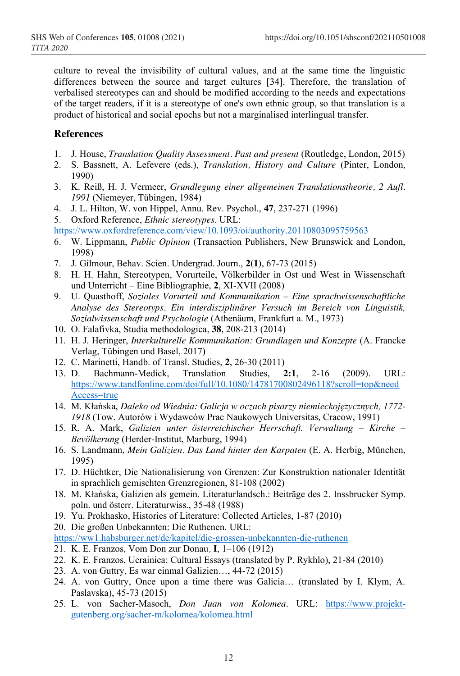culture to reveal the invisibility of cultural values, and at the same time the linguistic differences between the source and target cultures [34]. Therefore, the translation of verbalised stereotypes can and should be modified according to the needs and expectations of the target readers, if it is a stereotype of one's own ethnic group, so that translation is a product of historical and social epochs but not a marginalised interlingual transfer.

#### **References**

- 1. J. House, *Translation Quality Assessment. Past and present* (Routledge, London, 2015)
- 2. S. Bassnett, A. Lefevere (eds.), *Translation, History and Culture* (Pinter, London, 1990)
- 3. K. Reiß, H. J. Vermeer, *Grundlegung einer allgemeinen Translationstheorie, 2 Aufl. 1991* (Niemeyer, Tübingen, 1984)
- 4. J. L. Hilton, W. von Hippel, Annu. Rev. Psychol., **47**, 237-271 (1996)
- 5. Oxford Reference, *Ethnic stereotypes*. URL:
- https://www.oxfordreference.com/view/10.1093/oi/authority.20110803095759563
- 6. W. Lippmann, *Public Opinion* (Transaction Publishers, New Brunswick and London, 1998)
- 7. J. Gilmour, Behav. Scien. Undergrad. Journ., **2(1)**, 67-73 (2015)
- 8. H. H. Hahn, Stereotypen, Vorurteile, Völkerbilder in Ost und West in Wissenschaft und Unterricht – Eine Bibliographie, **2**, XI-XVII (2008)
- 9. U. Quasthoff, *Soziales Vorurteil und Kommunikation – Eine sprachwissenschaftliche Analyse des Stereotyps. Ein interdisziplinärer Versuch im Bereich von Linguistik, Sozialwissenschaft und Psychologie* (Athenäum, Frankfurt a. M., 1973)
- 10. O. Falafivka, Studia methodologica, **38**, 208-213 (2014)
- 11. H. J. Heringer, *Interkulturelle Kommunikation: Grundlagen und Konzepte* (A. Francke Verlag, Tübingen und Basel, 2017)
- 12. C. Marinetti, Handb. of Transl. Studies, **2**, 26-30 (2011)
- 13. D. Bachmann-Medick, Translation Studies, **2:1**, 2-16 (2009). URL: https://www.tandfonline.com/doi/full/10.1080/14781700802496118?scroll=top&need Access=true
- 14. M. Kłańska, *Daleko od Wiednia: Galicja w oczach pisarzy niemieckojęzycznych, 1772- 1918* (Tow. Autorów i Wydawców Prac Naukowych Universitas, Cracow, 1991)
- 15. R. A. Mark, *Galizien unter österreichischer Herrschaft. Verwaltung – Kirche – Bevölkerung* (Herder-Institut, Marburg, 1994)
- 16. S. Landmann, *Mein Galizien. Das Land hinter den Karpaten* (E. A. Herbig, München, 1995)
- 17. D. Hüchtker, Die Nationalisierung von Grenzen: Zur Konstruktion nationaler Identität in sprachlich gemischten Grenzregionen, 81-108 (2002)
- 18. M. Kłańska, Galizien als gemein. Literaturlandsch.: Beiträge des 2. Inssbrucker Symp. poln. und österr. Literaturwiss., 35-48 (1988)
- 19. Yu. Prokhasko, Histories of Literature: Collected Articles, 1-87 (2010)
- 20. Die großen Unbekannten: Die Ruthenen. URL:

https://ww1.habsburger.net/de/kapitel/die-grossen-unbekannten-die-ruthenen

- 21. K. E. Franzos, Vom Don zur Donau*,* **I**, 1–106 (1912)
- 22. K. E. Franzos, Ucrainica: Cultural Essays (translated by P. Rykhlo), 21-84 (2010)
- 23. A. von Guttry, Es war einmal Galizien…, 44-72 (2015)
- 24. A. von Guttry, Once upon a time there was Galicia… (translated by I. Klym, A. Paslavska), 45-73 (2015)
- 25. L. von Sacher-Masoch, *Don Juan von Kolomea*. URL: https://www.projektgutenberg.org/sacher-m/kolomea/kolomea.html